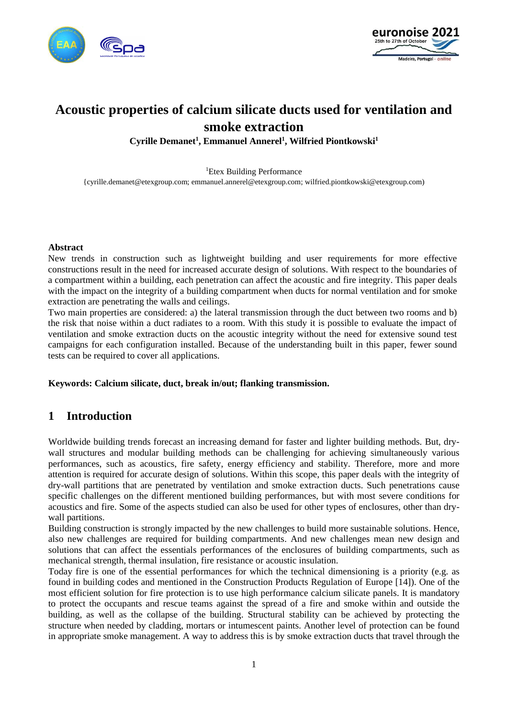



# **Acoustic properties of calcium silicate ducts used for ventilation and smoke extraction**

**Cyrille Demanet<sup>1</sup> , Emmanuel Annerel<sup>1</sup> , Wilfried Piontkowski 1**

<sup>1</sup>Etex Building Performance {cyrille.demanet@etexgroup.com; emmanuel.annerel@etexgroup.com; wilfried.piontkowski@etexgroup.com)

#### **Abstract**

New trends in construction such as lightweight building and user requirements for more effective constructions result in the need for increased accurate design of solutions. With respect to the boundaries of a compartment within a building, each penetration can affect the acoustic and fire integrity. This paper deals with the impact on the integrity of a building compartment when ducts for normal ventilation and for smoke extraction are penetrating the walls and ceilings.

Two main properties are considered: a) the lateral transmission through the duct between two rooms and b) the risk that noise within a duct radiates to a room. With this study it is possible to evaluate the impact of ventilation and smoke extraction ducts on the acoustic integrity without the need for extensive sound test campaigns for each configuration installed. Because of the understanding built in this paper, fewer sound tests can be required to cover all applications.

### **Keywords: Calcium silicate, duct, break in/out; flanking transmission.**

### **1 Introduction**

Worldwide building trends forecast an increasing demand for faster and lighter building methods. But, drywall structures and modular building methods can be challenging for achieving simultaneously various performances, such as acoustics, fire safety, energy efficiency and stability. Therefore, more and more attention is required for accurate design of solutions. Within this scope, this paper deals with the integrity of dry-wall partitions that are penetrated by ventilation and smoke extraction ducts. Such penetrations cause specific challenges on the different mentioned building performances, but with most severe conditions for acoustics and fire. Some of the aspects studied can also be used for other types of enclosures, other than drywall partitions.

Building construction is strongly impacted by the new challenges to build more sustainable solutions. Hence, also new challenges are required for building compartments. And new challenges mean new design and solutions that can affect the essentials performances of the enclosures of building compartments, such as mechanical strength, thermal insulation, fire resistance or acoustic insulation.

Today fire is one of the essential performances for which the technical dimensioning is a priority (e.g. as found in building codes and mentioned in the Construction Products Regulation of Europe [14]). One of the most efficient solution for fire protection is to use high performance calcium silicate panels. It is mandatory to protect the occupants and rescue teams against the spread of a fire and smoke within and outside the building, as well as the collapse of the building. Structural stability can be achieved by protecting the structure when needed by cladding, mortars or intumescent paints. Another level of protection can be found in appropriate smoke management. A way to address this is by smoke extraction ducts that travel through the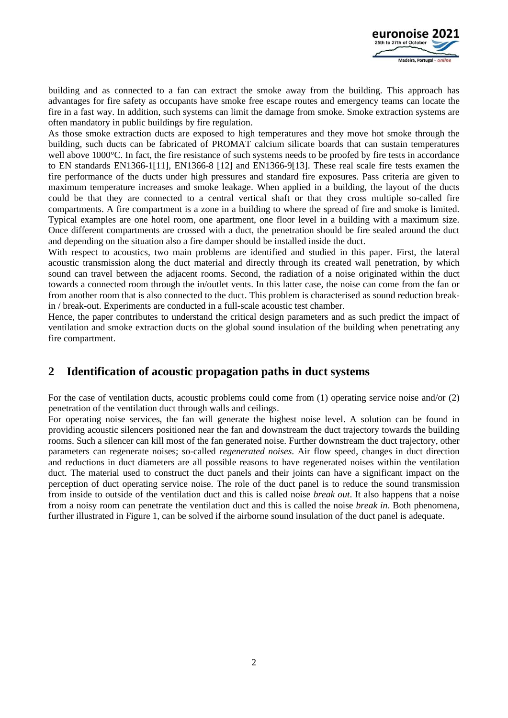

building and as connected to a fan can extract the smoke away from the building. This approach has advantages for fire safety as occupants have smoke free escape routes and emergency teams can locate the fire in a fast way. In addition, such systems can limit the damage from smoke. Smoke extraction systems are often mandatory in public buildings by fire regulation.

As those smoke extraction ducts are exposed to high temperatures and they move hot smoke through the building, such ducts can be fabricated of PROMAT calcium silicate boards that can sustain temperatures well above 1000°C. In fact, the fire resistance of such systems needs to be proofed by fire tests in accordance to EN standards EN1366-1[11], EN1366-8 [12] and EN1366-9[13]. These real scale fire tests examen the fire performance of the ducts under high pressures and standard fire exposures. Pass criteria are given to maximum temperature increases and smoke leakage. When applied in a building, the layout of the ducts could be that they are connected to a central vertical shaft or that they cross multiple so-called fire compartments. A fire compartment is a zone in a building to where the spread of fire and smoke is limited. Typical examples are one hotel room, one apartment, one floor level in a building with a maximum size. Once different compartments are crossed with a duct, the penetration should be fire sealed around the duct and depending on the situation also a fire damper should be installed inside the duct.

With respect to acoustics, two main problems are identified and studied in this paper. First, the lateral acoustic transmission along the duct material and directly through its created wall penetration, by which sound can travel between the adjacent rooms. Second, the radiation of a noise originated within the duct towards a connected room through the in/outlet vents. In this latter case, the noise can come from the fan or from another room that is also connected to the duct. This problem is characterised as sound reduction breakin / break-out. Experiments are conducted in a full-scale acoustic test chamber.

Hence, the paper contributes to understand the critical design parameters and as such predict the impact of ventilation and smoke extraction ducts on the global sound insulation of the building when penetrating any fire compartment.

# **2 Identification of acoustic propagation paths in duct systems**

For the case of ventilation ducts, acoustic problems could come from (1) operating service noise and/or (2) penetration of the ventilation duct through walls and ceilings.

For operating noise services, the fan will generate the highest noise level. A solution can be found in providing acoustic silencers positioned near the fan and downstream the duct trajectory towards the building rooms. Such a silencer can kill most of the fan generated noise. Further downstream the duct trajectory, other parameters can regenerate noises; so-called *regenerated noises*. Air flow speed, changes in duct direction and reductions in duct diameters are all possible reasons to have regenerated noises within the ventilation duct. The material used to construct the duct panels and their joints can have a significant impact on the perception of duct operating service noise. The role of the duct panel is to reduce the sound transmission from inside to outside of the ventilation duct and this is called noise *break out*. It also happens that a noise from a noisy room can penetrate the ventilation duct and this is called the noise *break in*. Both phenomena, further illustrated in Figure 1, can be solved if the airborne sound insulation of the duct panel is adequate.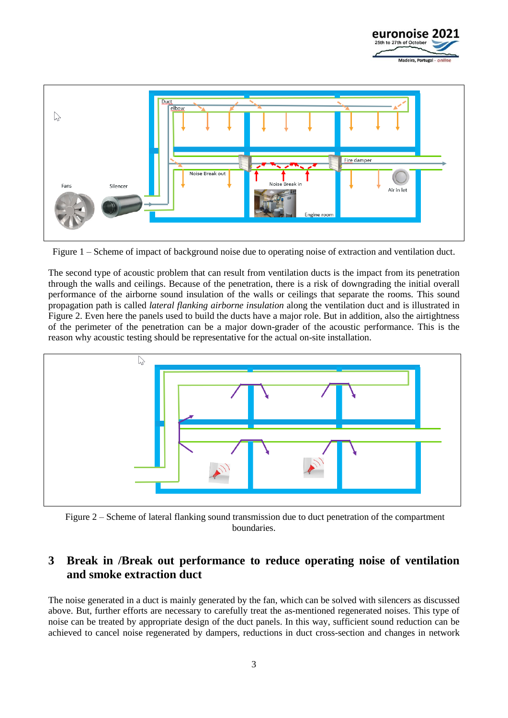



Figure 1 – Scheme of impact of background noise due to operating noise of extraction and ventilation duct.

The second type of acoustic problem that can result from ventilation ducts is the impact from its penetration through the walls and ceilings. Because of the penetration, there is a risk of downgrading the initial overall performance of the airborne sound insulation of the walls or ceilings that separate the rooms. This sound propagation path is called *lateral flanking airborne insulation* along the ventilation duct and is illustrated in Figure 2. Even here the panels used to build the ducts have a major role. But in addition, also the airtightness of the perimeter of the penetration can be a major down-grader of the acoustic performance. This is the reason why acoustic testing should be representative for the actual on-site installation.



Figure 2 – Scheme of lateral flanking sound transmission due to duct penetration of the compartment boundaries.

# **3 Break in /Break out performance to reduce operating noise of ventilation and smoke extraction duct**

The noise generated in a duct is mainly generated by the fan, which can be solved with silencers as discussed above. But, further efforts are necessary to carefully treat the as-mentioned regenerated noises. This type of noise can be treated by appropriate design of the duct panels. In this way, sufficient sound reduction can be achieved to cancel noise regenerated by dampers, reductions in duct cross-section and changes in network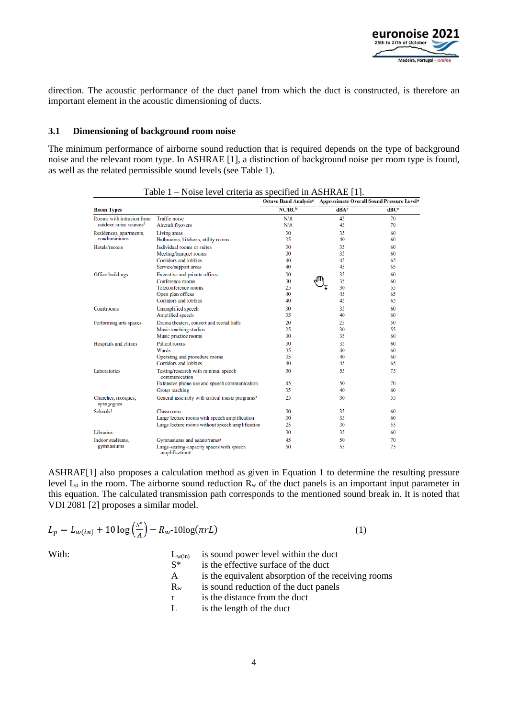

direction. The acoustic performance of the duct panel from which the duct is constructed, is therefore an important element in the acoustic dimensioning of ducts.

#### **3.1 Dimensioning of background room noise**

The minimum performance of airborne sound reduction that is required depends on the type of background noise and the relevant room type. In ASHRAE [1], a distinction of background noise per room type is found, as well as the related permissible sound levels (see Table 1).

|                                    |                                                                         | <b>Octave Band Analysis<sup>a</sup></b> |      | <b>Approximate Overall Sound Pressure Levela</b> |
|------------------------------------|-------------------------------------------------------------------------|-----------------------------------------|------|--------------------------------------------------|
| <b>Room Types</b>                  |                                                                         | NC/RC <sup>b</sup>                      | dBAc | dBCc                                             |
| Rooms with intrusion from          | <b>Traffic noise</b>                                                    | N/A                                     | 45   | 70                                               |
| outdoor noise sources <sup>d</sup> | Aircraft flyovers                                                       | N/A                                     | 45   | 70                                               |
| Residences, apartments,            | Living areas                                                            | 30                                      | 35   | 60                                               |
| condominiums                       | Bathrooms, kitchens, utility rooms                                      | 35                                      | 40   | 60                                               |
| Hotels/motels                      | Individual rooms or suites                                              | 30                                      | 35   | 60                                               |
|                                    | Meeting/banquet rooms                                                   | 30                                      | 35   | 60                                               |
|                                    | Corridors and lobbies                                                   | 40                                      | 45   | 65                                               |
|                                    | Service/support areas                                                   | 40                                      | 45   | 65                                               |
| Office buildings                   | Executive and private offices                                           | 30                                      | 35   | 60                                               |
|                                    | Conference rooms                                                        | 30                                      | 35   | 60                                               |
|                                    | Teleconference rooms                                                    | 25                                      | 30   | 55                                               |
|                                    | Open-plan offices                                                       | 40                                      | 45   | 65                                               |
|                                    | Corridors and lobbies                                                   | 40                                      | 45   | 65                                               |
| Courtrooms                         | Unamplified speech                                                      | 30                                      | 35   | 60                                               |
|                                    | Amplified speech                                                        | 35                                      | 40   | 60                                               |
| Performing arts spaces             | Drama theaters, concert and recital halls                               | 20                                      | 25   | 50                                               |
|                                    | Music teaching studios                                                  | 25                                      | 30   | 55                                               |
|                                    | Music practice rooms                                                    | 30                                      | 35   | 60                                               |
| Hospitals and clinics              | Patient rooms                                                           | 30                                      | 35   | 60                                               |
|                                    | Wards                                                                   | 35                                      | 40   | 60                                               |
|                                    | Operating and procedure rooms                                           | 35                                      | 40   | 60                                               |
|                                    | Corridors and lobbies                                                   | 40                                      | 45   | 65                                               |
| Laboratories                       | Testing/research with minimal speech<br>communication                   | 50                                      | 55   | 75                                               |
|                                    | Extensive phone use and speech communication                            | 45                                      | 50   | 70                                               |
|                                    | Group teaching                                                          | 35                                      | 40   | 60                                               |
| Churches, mosques,<br>synagogues   | General assembly with critical music programs <sup>e</sup>              | 25                                      | 30   | 55                                               |
| Schoolsf                           | <b>Classrooms</b>                                                       | 30                                      | 35   | 60                                               |
|                                    | Large lecture rooms with speech amplification                           | 30                                      | 35   | 60                                               |
|                                    | Large lecture rooms without speech amplification                        | 25                                      | 30   | 55                                               |
| Libraries                          |                                                                         | 30                                      | 35   | 60                                               |
| Indoor stadiums.                   | Gymnasiums and natatoriums <sup>g</sup>                                 | 45                                      | 50   | 70                                               |
| gymnasiums                         | Large-seating-capacity spaces with speech<br>amplification <sup>g</sup> | 50                                      | 55   | 75                                               |

| Table 1 – Noise level criteria as specified in ASHRAE [1]. |  |  |  |
|------------------------------------------------------------|--|--|--|
|------------------------------------------------------------|--|--|--|

ASHRAE[1] also proposes a calculation method as given in Equation 1 to determine the resulting pressure level  $L_p$  in the room. The airborne sound reduction  $\overline{R_w}$  of the duct panels is an important input parameter in this equation. The calculated transmission path corresponds to the mentioned sound break in. It is noted that VDI 2081 [2] proposes a similar model.

$$
L_p = L_{w(in)} + 10 \log \left(\frac{S^*}{A}\right) - R_w - 10 \log(\pi r L) \tag{1}
$$

 $\sim$   $\sim$ 

| With: | $L_{w(in)}$  | is sound power level within the duct                |
|-------|--------------|-----------------------------------------------------|
|       | $S^*$        | is the effective surface of the duct                |
|       | $\mathsf{A}$ | is the equivalent absorption of the receiving rooms |
|       | $R_{w}$      | is sound reduction of the duct panels               |
|       | r            | is the distance from the duct                       |
|       | L            | is the length of the duct                           |
|       |              |                                                     |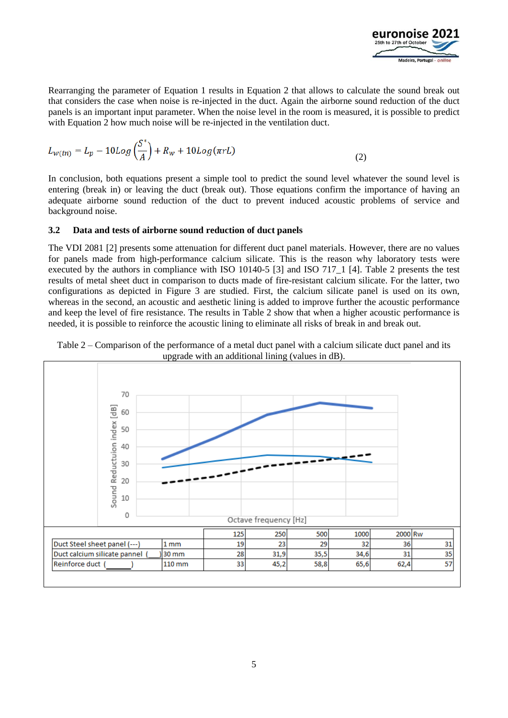

Rearranging the parameter of Equation 1 results in Equation 2 that allows to calculate the sound break out that considers the case when noise is re-injected in the duct. Again the airborne sound reduction of the duct panels is an important input parameter. When the noise level in the room is measured, it is possible to predict with Equation 2 how much noise will be re-injected in the ventilation duct.

$$
L_{w(in)} = L_p - 10Log\left(\frac{S^*}{A}\right) + R_w + 10Log(\pi rL)
$$
\n(2)

In conclusion, both equations present a simple tool to predict the sound level whatever the sound level is entering (break in) or leaving the duct (break out). Those equations confirm the importance of having an adequate airborne sound reduction of the duct to prevent induced acoustic problems of service and background noise.

### **3.2 Data and tests of airborne sound reduction of duct panels**

The VDI 2081 [2] presents some attenuation for different duct panel materials. However, there are no values for panels made from high-performance calcium silicate. This is the reason why laboratory tests were executed by the authors in compliance with ISO 10140-5 [3] and ISO 717\_1 [4]. Table 2 presents the test results of metal sheet duct in comparison to ducts made of fire-resistant calcium silicate. For the latter, two configurations as depicted in Figure 3 are studied. First, the calcium silicate panel is used on its own, whereas in the second, an acoustic and aesthetic lining is added to improve further the acoustic performance and keep the level of fire resistance. The results in Table 2 show that when a higher acoustic performance is needed, it is possible to reinforce the acoustic lining to eliminate all risks of break in and break out.



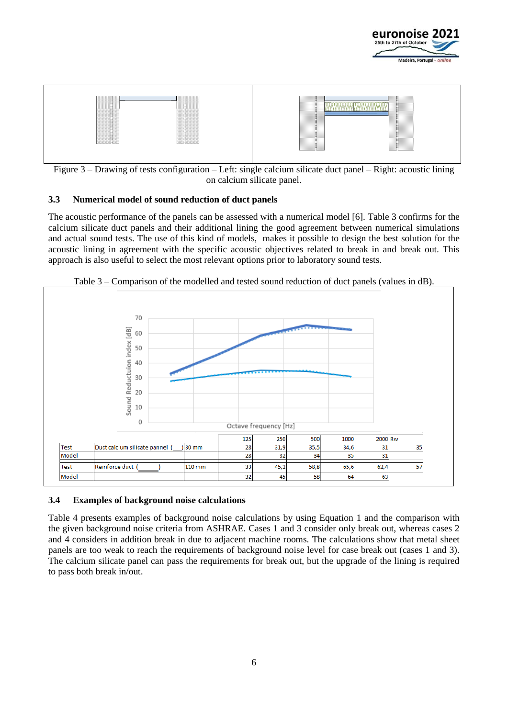



Figure 3 – Drawing of tests configuration – Left: single calcium silicate duct panel – Right: acoustic lining on calcium silicate panel.

### **3.3 Numerical model of sound reduction of duct panels**

The acoustic performance of the panels can be assessed with a numerical model [6]. Table 3 confirms for the calcium silicate duct panels and their additional lining the good agreement between numerical simulations and actual sound tests. The use of this kind of models, makes it possible to design the best solution for the acoustic lining in agreement with the specific acoustic objectives related to break in and break out. This approach is also useful to select the most relevant options prior to laboratory sound tests.



Table 3 – Comparison of the modelled and tested sound reduction of duct panels (values in dB).

### **3.4 Examples of background noise calculations**

Table 4 presents examples of background noise calculations by using Equation 1 and the comparison with the given background noise criteria from ASHRAE. Cases 1 and 3 consider only break out, whereas cases 2 and 4 considers in addition break in due to adjacent machine rooms. The calculations show that metal sheet panels are too weak to reach the requirements of background noise level for case break out (cases 1 and 3). The calcium silicate panel can pass the requirements for break out, but the upgrade of the lining is required to pass both break in/out.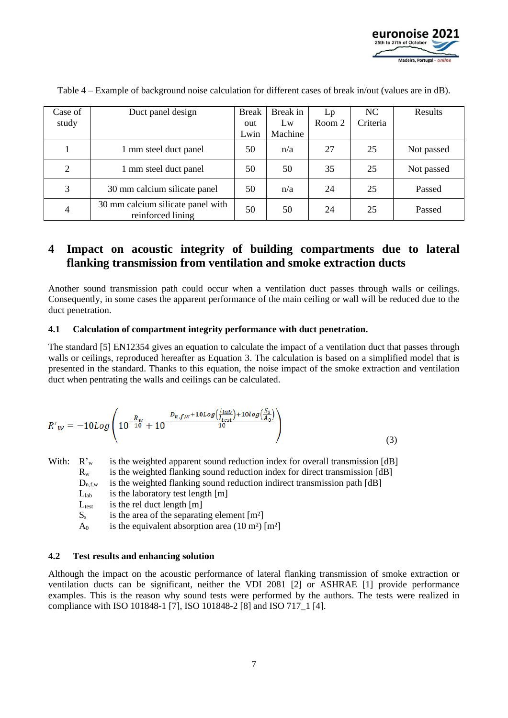

| Case of | Duct panel design                                      | <b>Break</b> | Break in | Lp     | NC       | Results    |
|---------|--------------------------------------------------------|--------------|----------|--------|----------|------------|
| study   |                                                        | out          | Lw       | Room 2 | Criteria |            |
|         |                                                        | Lwin         | Machine  |        |          |            |
|         | 1 mm steel duct panel                                  | 50           | n/a      | 27     | 25       | Not passed |
| 2       | 1 mm steel duct panel                                  | 50           | 50       | 35     | 25       | Not passed |
| 3       | 30 mm calcium silicate panel                           | 50           | n/a      | 24     | 25       | Passed     |
| 4       | 30 mm calcium silicate panel with<br>reinforced lining | 50           | 50       | 24     | 25       | Passed     |

Table 4 – Example of background noise calculation for different cases of break in/out (values are in dB).

# **4 Impact on acoustic integrity of building compartments due to lateral flanking transmission from ventilation and smoke extraction ducts**

Another sound transmission path could occur when a ventilation duct passes through walls or ceilings. Consequently, in some cases the apparent performance of the main ceiling or wall will be reduced due to the duct penetration.

### **4.1 Calculation of compartment integrity performance with duct penetration.**

The standard [5] EN12354 gives an equation to calculate the impact of a ventilation duct that passes through walls or ceilings, reproduced hereafter as Equation 3. The calculation is based on a simplified model that is presented in the standard. Thanks to this equation, the noise impact of the smoke extraction and ventilation duct when pentrating the walls and ceilings can be calculated.

$$
R'_{W} = -10Log\left(10^{-\frac{R_{W}}{10}} + 10^{-\frac{D_{n,f,W} + 10Log\left(\frac{l_{lab}}{l_{test}}\right) + 10log\left(\frac{S_{S}}{A_{0}}\right)}{10}}\right)
$$
(3)

With:  $R_w^{\prime}$  is the weighted apparent sound reduction index for overall transmission [dB]

 $R_w$  is the weighted flanking sound reduction index for direct transmission [dB]

 $D_{n,f,w}$  is the weighted flanking sound reduction indirect transmission path [dB]

- $L<sub>lab</sub>$  is the laboratory test length  $[m]$
- $L_{test}$  is the rel duct length  $[m]$
- $S_s$  is the area of the separating element  $[m^2]$

 $A_0$  is the equivalent absorption area (10 m<sup>2</sup>) [m<sup>2</sup>]

### **4.2 Test results and enhancing solution**

Although the impact on the acoustic performance of lateral flanking transmission of smoke extraction or ventilation ducts can be significant, neither the VDI 2081 [2] or ASHRAE [1] provide performance examples. This is the reason why sound tests were performed by the authors. The tests were realized in compliance with ISO 101848-1 [7], ISO 101848-2 [8] and ISO 717\_1 [4].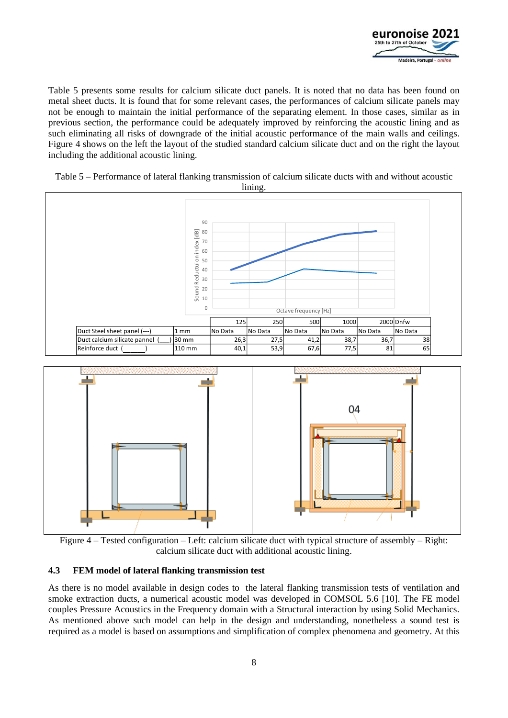

Table 5 presents some results for calcium silicate duct panels. It is noted that no data has been found on metal sheet ducts. It is found that for some relevant cases, the performances of calcium silicate panels may not be enough to maintain the initial performance of the separating element. In those cases, similar as in previous section, the performance could be adequately improved by reinforcing the acoustic lining and as such eliminating all risks of downgrade of the initial acoustic performance of the main walls and ceilings. Figure 4 shows on the left the layout of the studied standard calcium silicate duct and on the right the layout including the additional acoustic lining.





Figure 4 – Tested configuration – Left: calcium silicate duct with typical structure of assembly – Right: calcium silicate duct with additional acoustic lining.

### **4.3 FEM model of lateral flanking transmission test**

As there is no model available in design codes to the lateral flanking transmission tests of ventilation and smoke extraction ducts, a numerical acoustic model was developed in COMSOL 5.6 [10]. The FE model couples Pressure Acoustics in the Frequency domain with a Structural interaction by using Solid Mechanics. As mentioned above such model can help in the design and understanding, nonetheless a sound test is required as a model is based on assumptions and simplification of complex phenomena and geometry. At this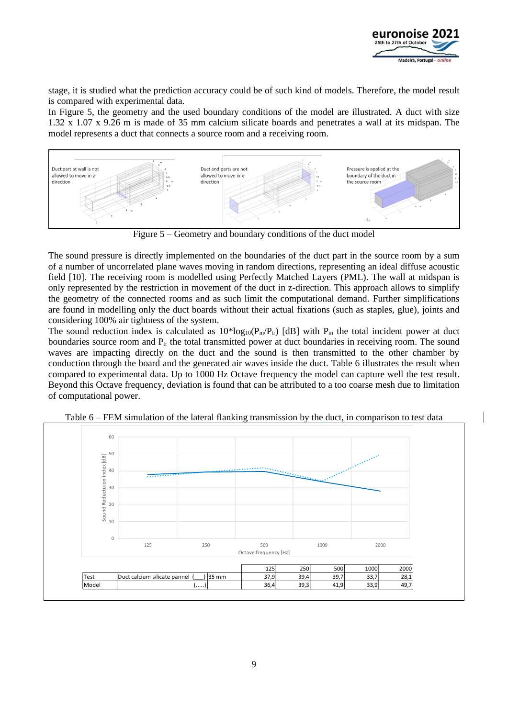

stage, it is studied what the prediction accuracy could be of such kind of models. Therefore, the model result is compared with experimental data.

In Figure 5, the geometry and the used boundary conditions of the model are illustrated. A duct with size 1.32 x 1.07 x 9.26 m is made of 35 mm calcium silicate boards and penetrates a wall at its midspan. The model represents a duct that connects a source room and a receiving room.



Figure 5 – Geometry and boundary conditions of the duct model

The sound pressure is directly implemented on the boundaries of the duct part in the source room by a sum of a number of uncorrelated plane waves moving in random directions, representing an ideal diffuse acoustic field [10]. The receiving room is modelled using Perfectly Matched Layers (PML). The wall at midspan is only represented by the restriction in movement of the duct in z-direction. This approach allows to simplify the geometry of the connected rooms and as such limit the computational demand. Further simplifications are found in modelling only the duct boards without their actual fixations (such as staples, glue), joints and considering 100% air tightness of the system.

The sound reduction index is calculated as  $10*log_{10}(P_{in}/P_{tr})$  [dB] with  $P_{in}$  the total incident power at duct boundaries source room and  $P_{tr}$  the total transmitted power at duct boundaries in receiving room. The sound waves are impacting directly on the duct and the sound is then transmitted to the other chamber by conduction through the board and the generated air waves inside the duct. Table 6 illustrates the result when compared to experimental data. Up to 1000 Hz Octave frequency the model can capture well the test result. Beyond this Octave frequency, deviation is found that can be attributed to a too coarse mesh due to limitation of computational power.



Table 6 – FEM simulation of the lateral flanking transmission by the duct, in comparison to test data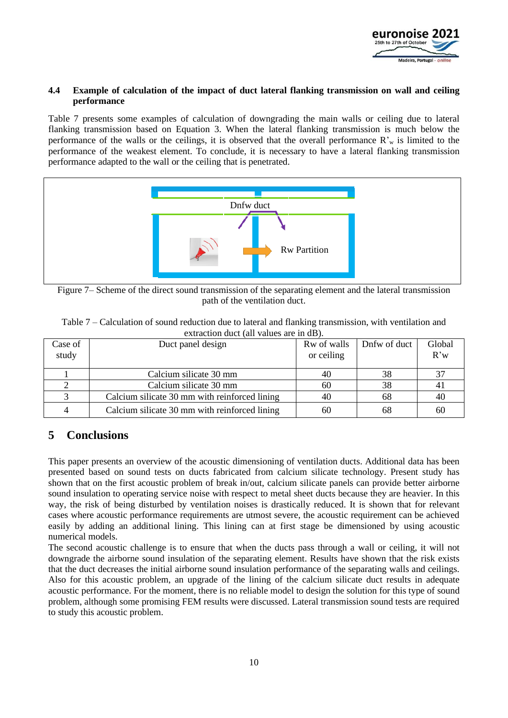

### **4.4 Example of calculation of the impact of duct lateral flanking transmission on wall and ceiling performance**

Table 7 presents some examples of calculation of downgrading the main walls or ceiling due to lateral flanking transmission based on Equation 3. When the lateral flanking transmission is much below the performance of the walls or the ceilings, it is observed that the overall performance  $\mathbb{R}^n$  is limited to the performance of the weakest element. To conclude, it is necessary to have a lateral flanking transmission performance adapted to the wall or the ceiling that is penetrated.



Figure 7– Scheme of the direct sound transmission of the separating element and the lateral transmission path of the ventilation duct.

| Table 7 – Calculation of sound reduction due to lateral and flanking transmission, with ventilation and |
|---------------------------------------------------------------------------------------------------------|
| extraction duct (all values are in dB).                                                                 |

| Case of<br>study | Duct panel design                             | Rw of walls<br>or ceiling | Dnfw of duct | Global<br>R'w |
|------------------|-----------------------------------------------|---------------------------|--------------|---------------|
|                  |                                               |                           |              |               |
|                  | Calcium silicate 30 mm                        | 40                        | 38           |               |
|                  | Calcium silicate 30 mm                        | 60                        | 38           | 4 I           |
|                  | Calcium silicate 30 mm with reinforced lining | 40                        | 68           | 40            |
|                  | Calcium silicate 30 mm with reinforced lining | 60                        | 68           | 60            |

# **5 Conclusions**

This paper presents an overview of the acoustic dimensioning of ventilation ducts. Additional data has been presented based on sound tests on ducts fabricated from calcium silicate technology. Present study has shown that on the first acoustic problem of break in/out, calcium silicate panels can provide better airborne sound insulation to operating service noise with respect to metal sheet ducts because they are heavier. In this way, the risk of being disturbed by ventilation noises is drastically reduced. It is shown that for relevant cases where acoustic performance requirements are utmost severe, the acoustic requirement can be achieved easily by adding an additional lining. This lining can at first stage be dimensioned by using acoustic numerical models.

The second acoustic challenge is to ensure that when the ducts pass through a wall or ceiling, it will not downgrade the airborne sound insulation of the separating element. Results have shown that the risk exists that the duct decreases the initial airborne sound insulation performance of the separating walls and ceilings. Also for this acoustic problem, an upgrade of the lining of the calcium silicate duct results in adequate acoustic performance. For the moment, there is no reliable model to design the solution for this type of sound problem, although some promising FEM results were discussed. Lateral transmission sound tests are required to study this acoustic problem.